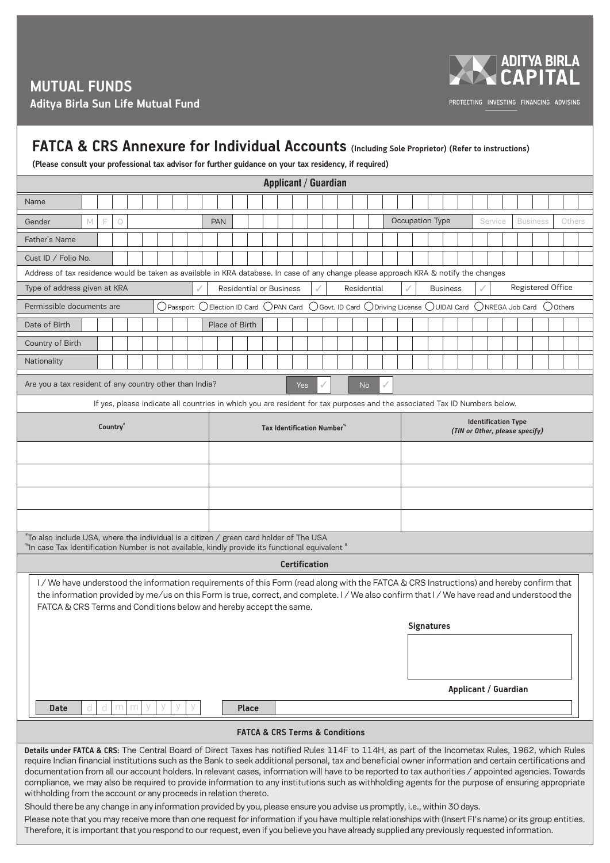**MUTUAL FUNDS Aditya Birla Sun Life Mutual Fund**



PROTECTING INVESTING FINANCING ADVISING

## **FATCA & CRS Annexure for Individual Accounts (Including Sole Proprietor) (Refer to instructions)**

**(Please consult your professional tax advisor for further guidance on your tax residency, if required)**

| Applicant / Guardian                                                                                                                                                                                                                                                                                                                                                                                                                                                                                                                                                                                                                                                                                                                                                                                                                                                                                                                                                                                                                                                                                                                      |                                                                                                                                      |                                                              |  |
|-------------------------------------------------------------------------------------------------------------------------------------------------------------------------------------------------------------------------------------------------------------------------------------------------------------------------------------------------------------------------------------------------------------------------------------------------------------------------------------------------------------------------------------------------------------------------------------------------------------------------------------------------------------------------------------------------------------------------------------------------------------------------------------------------------------------------------------------------------------------------------------------------------------------------------------------------------------------------------------------------------------------------------------------------------------------------------------------------------------------------------------------|--------------------------------------------------------------------------------------------------------------------------------------|--------------------------------------------------------------|--|
| Name                                                                                                                                                                                                                                                                                                                                                                                                                                                                                                                                                                                                                                                                                                                                                                                                                                                                                                                                                                                                                                                                                                                                      |                                                                                                                                      |                                                              |  |
| M<br>F<br>Gender<br>$\bigcirc$                                                                                                                                                                                                                                                                                                                                                                                                                                                                                                                                                                                                                                                                                                                                                                                                                                                                                                                                                                                                                                                                                                            | <b>PAN</b>                                                                                                                           | Occupation Type<br>Service<br><b>Business</b><br>Others      |  |
| Father's Name                                                                                                                                                                                                                                                                                                                                                                                                                                                                                                                                                                                                                                                                                                                                                                                                                                                                                                                                                                                                                                                                                                                             |                                                                                                                                      |                                                              |  |
| Cust ID / Folio No.                                                                                                                                                                                                                                                                                                                                                                                                                                                                                                                                                                                                                                                                                                                                                                                                                                                                                                                                                                                                                                                                                                                       |                                                                                                                                      |                                                              |  |
|                                                                                                                                                                                                                                                                                                                                                                                                                                                                                                                                                                                                                                                                                                                                                                                                                                                                                                                                                                                                                                                                                                                                           | Address of tax residence would be taken as available in KRA database. In case of any change please approach KRA & notify the changes |                                                              |  |
| Type of address given at KRA                                                                                                                                                                                                                                                                                                                                                                                                                                                                                                                                                                                                                                                                                                                                                                                                                                                                                                                                                                                                                                                                                                              | <b>Residential or Business</b><br>Residential                                                                                        | Registered Office<br><b>Business</b>                         |  |
| Permissible documents are                                                                                                                                                                                                                                                                                                                                                                                                                                                                                                                                                                                                                                                                                                                                                                                                                                                                                                                                                                                                                                                                                                                 | $\bigcirc$ Passport $\bigcirc$ Election ID Card $\bigcirc$ PAN Card<br>◯ Govt. ID Card ◯ Driving License ◯ UIDAI Card                | ONREGA Job Card<br>() Others                                 |  |
| Date of Birth                                                                                                                                                                                                                                                                                                                                                                                                                                                                                                                                                                                                                                                                                                                                                                                                                                                                                                                                                                                                                                                                                                                             | Place of Birth                                                                                                                       |                                                              |  |
| Country of Birth                                                                                                                                                                                                                                                                                                                                                                                                                                                                                                                                                                                                                                                                                                                                                                                                                                                                                                                                                                                                                                                                                                                          |                                                                                                                                      |                                                              |  |
| Nationality                                                                                                                                                                                                                                                                                                                                                                                                                                                                                                                                                                                                                                                                                                                                                                                                                                                                                                                                                                                                                                                                                                                               |                                                                                                                                      |                                                              |  |
| Are you a tax resident of any country other than India?<br><b>No</b><br>Yes                                                                                                                                                                                                                                                                                                                                                                                                                                                                                                                                                                                                                                                                                                                                                                                                                                                                                                                                                                                                                                                               |                                                                                                                                      |                                                              |  |
| If yes, please indicate all countries in which you are resident for tax purposes and the associated Tax ID Numbers below.                                                                                                                                                                                                                                                                                                                                                                                                                                                                                                                                                                                                                                                                                                                                                                                                                                                                                                                                                                                                                 |                                                                                                                                      |                                                              |  |
| Country"                                                                                                                                                                                                                                                                                                                                                                                                                                                                                                                                                                                                                                                                                                                                                                                                                                                                                                                                                                                                                                                                                                                                  | Tax Identification Number <sup>®</sup>                                                                                               | <b>Identification Type</b><br>(TIN or Other, please specify) |  |
|                                                                                                                                                                                                                                                                                                                                                                                                                                                                                                                                                                                                                                                                                                                                                                                                                                                                                                                                                                                                                                                                                                                                           |                                                                                                                                      |                                                              |  |
|                                                                                                                                                                                                                                                                                                                                                                                                                                                                                                                                                                                                                                                                                                                                                                                                                                                                                                                                                                                                                                                                                                                                           |                                                                                                                                      |                                                              |  |
|                                                                                                                                                                                                                                                                                                                                                                                                                                                                                                                                                                                                                                                                                                                                                                                                                                                                                                                                                                                                                                                                                                                                           |                                                                                                                                      |                                                              |  |
|                                                                                                                                                                                                                                                                                                                                                                                                                                                                                                                                                                                                                                                                                                                                                                                                                                                                                                                                                                                                                                                                                                                                           |                                                                                                                                      |                                                              |  |
| $^*$ To also include USA, where the individual is a citizen / green card holder of The USA<br>$^{\ast}$ In case Tax Identification Number is not available, kindly provide its functional equivalent $^{\ast}$                                                                                                                                                                                                                                                                                                                                                                                                                                                                                                                                                                                                                                                                                                                                                                                                                                                                                                                            |                                                                                                                                      |                                                              |  |
| <b>Certification</b>                                                                                                                                                                                                                                                                                                                                                                                                                                                                                                                                                                                                                                                                                                                                                                                                                                                                                                                                                                                                                                                                                                                      |                                                                                                                                      |                                                              |  |
| I/We have understood the information requirements of this Form (read along with the FATCA & CRS Instructions) and hereby confirm that<br>the information provided by me/us on this Form is true, correct, and complete. I / We also confirm that I / We have read and understood the<br>FATCA & CRS Terms and Conditions below and hereby accept the same.<br><b>Signatures</b><br>Applicant / Guardian                                                                                                                                                                                                                                                                                                                                                                                                                                                                                                                                                                                                                                                                                                                                   |                                                                                                                                      |                                                              |  |
| <b>Date</b><br>d<br>d<br>m<br>m                                                                                                                                                                                                                                                                                                                                                                                                                                                                                                                                                                                                                                                                                                                                                                                                                                                                                                                                                                                                                                                                                                           | <b>Place</b>                                                                                                                         |                                                              |  |
| <b>FATCA &amp; CRS Terms &amp; Conditions</b>                                                                                                                                                                                                                                                                                                                                                                                                                                                                                                                                                                                                                                                                                                                                                                                                                                                                                                                                                                                                                                                                                             |                                                                                                                                      |                                                              |  |
| Details under FATCA & CRS: The Central Board of Direct Taxes has notified Rules 114F to 114H, as part of the Incometax Rules, 1962, which Rules<br>require Indian financial institutions such as the Bank to seek additional personal, tax and beneficial owner information and certain certifications and<br>documentation from all our account holders. In relevant cases, information will have to be reported to tax authorities / appointed agencies. Towards<br>compliance, we may also be required to provide information to any institutions such as withholding agents for the purpose of ensuring appropriate<br>withholding from the account or any proceeds in relation thereto.<br>Should there be any change in any information provided by you, please ensure you advise us promptly, i.e., within 30 days.<br>Please note that you may receive more than one request for information if you have multiple relationships with (Insert FI's name) or its group entities.<br>Therefore, it is important that you respond to our request, even if you believe you have already supplied any previously requested information. |                                                                                                                                      |                                                              |  |